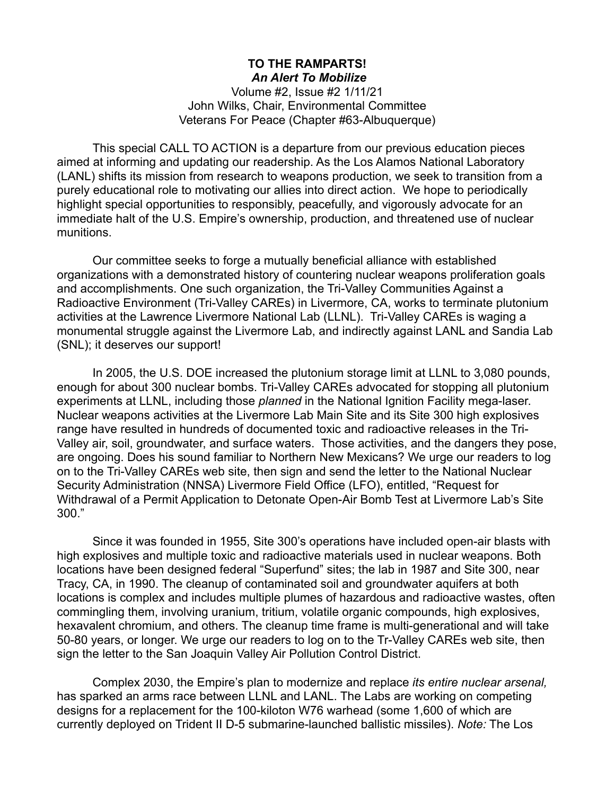## **TO THE RAMPARTS!** *An Alert To Mobilize*

Volume #2, Issue #2 1/11/21 John Wilks, Chair, Environmental Committee Veterans For Peace (Chapter #63-Albuquerque)

This special CALL TO ACTION is a departure from our previous education pieces aimed at informing and updating our readership. As the Los Alamos National Laboratory (LANL) shifts its mission from research to weapons production, we seek to transition from a purely educational role to motivating our allies into direct action. We hope to periodically highlight special opportunities to responsibly, peacefully, and vigorously advocate for an immediate halt of the U.S. Empire's ownership, production, and threatened use of nuclear munitions.

Our committee seeks to forge a mutually beneficial alliance with established organizations with a demonstrated history of countering nuclear weapons proliferation goals and accomplishments. One such organization, the Tri-Valley Communities Against a Radioactive Environment (Tri-Valley CAREs) in Livermore, CA, works to terminate plutonium activities at the Lawrence Livermore National Lab (LLNL). Tri-Valley CAREs is waging a monumental struggle against the Livermore Lab, and indirectly against LANL and Sandia Lab (SNL); it deserves our support!

In 2005, the U.S. DOE increased the plutonium storage limit at LLNL to 3,080 pounds, enough for about 300 nuclear bombs. Tri-Valley CAREs advocated for stopping all plutonium experiments at LLNL, including those *planned* in the National Ignition Facility mega-laser. Nuclear weapons activities at the Livermore Lab Main Site and its Site 300 high explosives range have resulted in hundreds of documented toxic and radioactive releases in the Tri-Valley air, soil, groundwater, and surface waters. Those activities, and the dangers they pose, are ongoing. Does his sound familiar to Northern New Mexicans? We urge our readers to log on to the Tri-Valley CAREs web site, then sign and send the letter to the National Nuclear Security Administration (NNSA) Livermore Field Office (LFO), entitled, "Request for Withdrawal of a Permit Application to Detonate Open-Air Bomb Test at Livermore Lab's Site 300."

Since it was founded in 1955, Site 300's operations have included open-air blasts with high explosives and multiple toxic and radioactive materials used in nuclear weapons. Both locations have been designed federal "Superfund" sites; the lab in 1987 and Site 300, near Tracy, CA, in 1990. The cleanup of contaminated soil and groundwater aquifers at both locations is complex and includes multiple plumes of hazardous and radioactive wastes, often commingling them, involving uranium, tritium, volatile organic compounds, high explosives, hexavalent chromium, and others. The cleanup time frame is multi-generational and will take 50-80 years, or longer. We urge our readers to log on to the Tr-Valley CAREs web site, then sign the letter to the San Joaquin Valley Air Pollution Control District.

Complex 2030, the Empire's plan to modernize and replace *its entire nuclear arsenal,* has sparked an arms race between LLNL and LANL. The Labs are working on competing designs for a replacement for the 100-kiloton W76 warhead (some 1,600 of which are currently deployed on Trident II D-5 submarine-launched ballistic missiles). *Note:* The Los